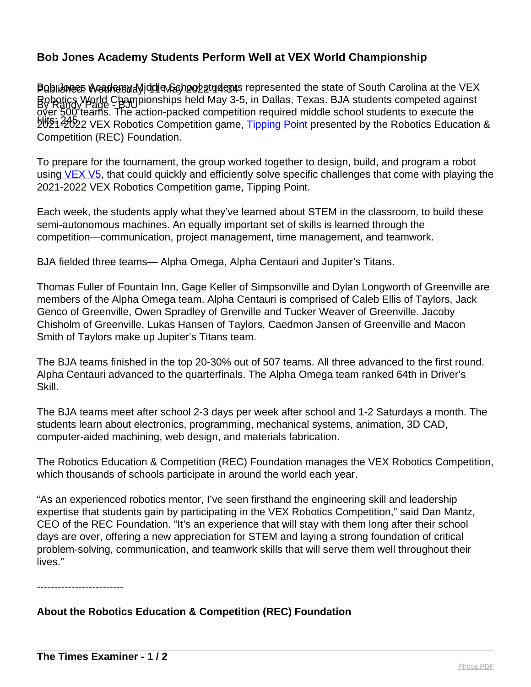## **Bob Jones Academy Students Perform Well at VEX World Championship**

Publishees Acadres alic dela Cash 2022 tude as represented the state of South Carolina at the VEX By Randy Page - BJU Robotics World Championships held May 3-5, in Dallas, Texas. BJA students competed against bits: 2022 VEX Robotics Competition game, [Tipping Point](http://link.mediaoutreach.meltwater.com/ls/click?upn=k7olkR1HovzIuyTIfd3-2BeBz6IbK7KztrtszODj-2BbOyJyKgx1PO5yXtiz9OQdupyQEBkZiXFtcLTLdv06h1JgaUR7siC0K2K474maujCvItE-3DR5Bc_EkRkegmYzM7dalXjFusseri6eiG-2BVlQ5D6uTuwPvDirB-2BX-2FFfT5jEhiLzj2JOpMmyEPaKNMqtc8wbgcEmza85aATPi9yq1BY5yA6D8OZO1EKnv19F21GIDhshh2psfCwp8b1lr43ecPllmmOmsAFUnoBC-2FrFlshxP8Hfa9RvShEcj9seZJ-2BsZJhxtZDuM0NMWkL7aiAiTNu20dteTsTdnCoN3EpfyqdWDIRNfQ4e-2FPjQTZwvOaBaQJpgaWp9mp3-2BUFbabGY8ph94afJ33cLB6ZycEBKC7YFBJ6N-2FCsGbq3svEEmV7eXtaWMCUZo8P1szVy2Lc8zKtg0ruQvnG8osVHuO1KAyBjfCrHKeVRyGPI4eelkVLB20n0LyigHClyVYJQr77jOp1TwWoti3Qp4O3A-3D-3D) presented by the Robotics Education & over 500 teams. The action-packed competition required middle school students to execute the Competition (REC) Foundation.

To prepare for the tournament, the group worked together to design, build, and program a robot usin[g VEX V5,](http://link.mediaoutreach.meltwater.com/ls/click?upn=UoHPh0SWugmpU5jGHfx-2B5lH-2FpEr4Dgv3NpVNGw9FEKc-3DpzwZ_EkRkegmYzM7dalXjFusseri6eiG-2BVlQ5D6uTuwPvDirB-2BX-2FFfT5jEhiLzj2JOpMmyEPaKNMqtc8wbgcEmza85aATPi9yq1BY5yA6D8OZO1EKnv19F21GIDhshh2psfCwp8b1lr43ecPllmmOmsAFUnoBC-2FrFlshxP8Hfa9RvShEcj9seZJ-2BsZJhxtZDuM0NMWkL7aiAiTNu20dteTsTdnCoN3EpfyqdWDIRNfQ4e-2FPjQgFLWI0BiKwwWMt-2BYcANlt3XGggj2KvrTdk1ehvZv7ZKpQaiO6G7uan8-2FqrGN1PBkM4j-2FG9nkRtxzeVsy-2BoQYtm93pzAfiUf7eOwr0FzzPjgp9VGPit4swVpbQskcZxKTcBCu6UiFszBifORTvCwSAJKRES5ftgkn0ZJ-2Bw2BywA-3D-3D) that could quickly and efficiently solve specific challenges that come with playing the 2021-2022 VEX Robotics Competition game, Tipping Point.

Each week, the students apply what they've learned about STEM in the classroom, to build these semi-autonomous machines. An equally important set of skills is learned through the competition—communication, project management, time management, and teamwork.

BJA fielded three teams— Alpha Omega, Alpha Centauri and Jupiter's Titans.

Thomas Fuller of Fountain Inn, Gage Keller of Simpsonville and Dylan Longworth of Greenville are members of the Alpha Omega team. Alpha Centauri is comprised of Caleb Ellis of Taylors, Jack Genco of Greenville, Owen Spradley of Grenville and Tucker Weaver of Greenville. Jacoby Chisholm of Greenville, Lukas Hansen of Taylors, Caedmon Jansen of Greenville and Macon Smith of Taylors make up Jupiter's Titans team.

The BJA teams finished in the top 20-30% out of 507 teams. All three advanced to the first round. Alpha Centauri advanced to the quarterfinals. The Alpha Omega team ranked 64th in Driver's Skill.

The BJA teams meet after school 2-3 days per week after school and 1-2 Saturdays a month. The students learn about electronics, programming, mechanical systems, animation, 3D CAD, computer-aided machining, web design, and materials fabrication.

The Robotics Education & Competition (REC) Foundation manages the VEX Robotics Competition, which thousands of schools participate in around the world each year.

"As an experienced robotics mentor, I've seen firsthand the engineering skill and leadership expertise that students gain by participating in the VEX Robotics Competition," said Dan Mantz, CEO of the REC Foundation. "It's an experience that will stay with them long after their school days are over, offering a new appreciation for STEM and laying a strong foundation of critical problem-solving, communication, and teamwork skills that will serve them well throughout their lives."

-------------------------

## **About the Robotics Education & Competition (REC) Foundation**